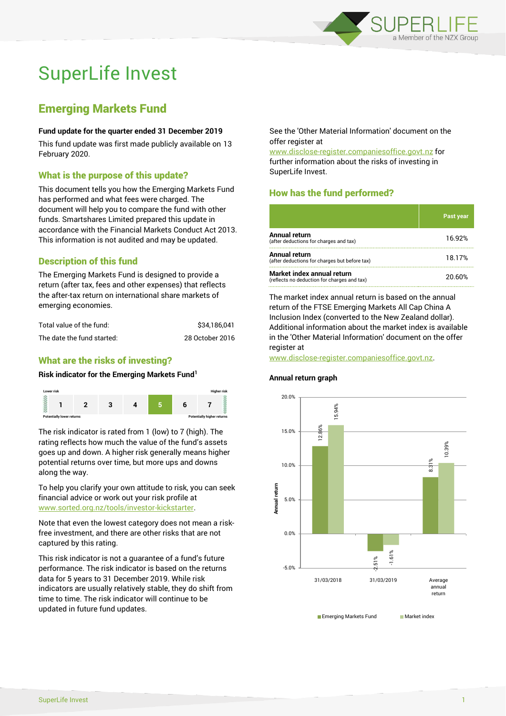

# SuperLife Invest

## Emerging Markets Fund

#### **Fund update for the quarter ended 31 December 2019**

This fund update was first made publicly available on 13 February 2020.

#### What is the purpose of this update?

This document tells you how the Emerging Markets Fund has performed and what fees were charged. The document will help you to compare the fund with other funds. Smartshares Limited prepared this update in accordance with the Financial Markets Conduct Act 2013. This information is not audited and may be updated.

## Description of this fund

The Emerging Markets Fund is designed to provide a return (after tax, fees and other expenses) that reflects the after-tax return on international share markets of emerging economies.

| Total value of the fund:   | \$34.186.041    |
|----------------------------|-----------------|
| The date the fund started: | 28 October 2016 |

### What are the risks of investing?

#### **Risk indicator for the Emerging Markets Fund<sup>1</sup>**



The risk indicator is rated from 1 (low) to 7 (high). The rating reflects how much the value of the fund's assets goes up and down. A higher risk generally means higher potential returns over time, but more ups and downs along the way.

To help you clarify your own attitude to risk, you can seek financial advice or work out your risk profile at [www.sorted.org.nz/tools/investor-kickstarter.](http://www.sorted.org.nz/tools/investor-kickstarter)

Note that even the lowest category does not mean a riskfree investment, and there are other risks that are not captured by this rating.

This risk indicator is not a guarantee of a fund's future performance. The risk indicator is based on the returns data for 5 years to 31 December 2019. While risk indicators are usually relatively stable, they do shift from time to time. The risk indicator will continue to be updated in future fund updates.

See the 'Other Material Information' document on the offer register at

www.disclose-register.companiesoffice.govt.nz for further information about the risks of investing in SuperLife Invest.

## How has the fund performed?

|                                                                           | <b>Past year</b> |
|---------------------------------------------------------------------------|------------------|
| Annual return<br>(after deductions for charges and tax)                   | 16.92%           |
| <b>Annual return</b><br>(after deductions for charges but before tax)     | 18.17%           |
| Market index annual return<br>(reflects no deduction for charges and tax) | 20.60%           |

The market index annual return is based on the annual return of the FTSE Emerging Markets All Cap China A Inclusion Index (converted to the New Zealand dollar). Additional information about the market index is available in the 'Other Material Information' document on the offer register at

www.disclose-register.companiesoffice.govt.nz.

#### **Annual return graph**

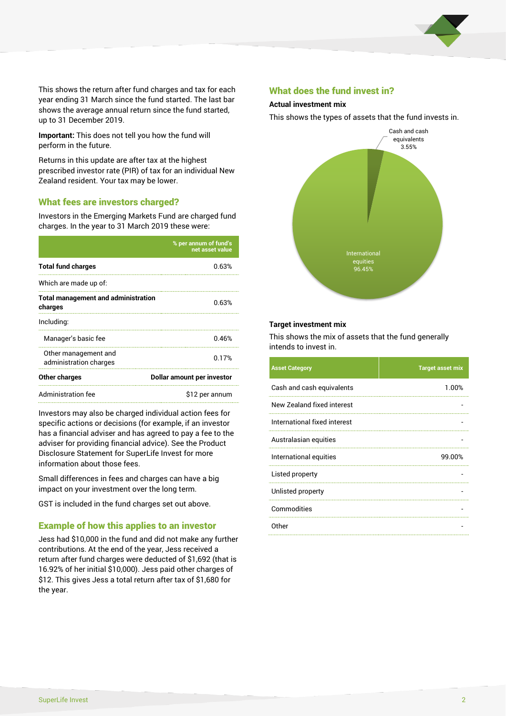

This shows the return after fund charges and tax for each year ending 31 March since the fund started. The last bar shows the average annual return since the fund started, up to 31 December 2019.

**Important:** This does not tell you how the fund will perform in the future.

Returns in this update are after tax at the highest prescribed investor rate (PIR) of tax for an individual New Zealand resident. Your tax may be lower.

#### What fees are investors charged?

Investors in the Emerging Markets Fund are charged fund charges. In the year to 31 March 2019 these were:

|                                                       | % per annum of fund's<br>net asset value |  |
|-------------------------------------------------------|------------------------------------------|--|
| <b>Total fund charges</b>                             | 0.63%                                    |  |
| Which are made up of:                                 |                                          |  |
| <b>Total management and administration</b><br>charges | 0.63%                                    |  |
| Including:                                            |                                          |  |
| Manager's basic fee                                   | 0.46%                                    |  |
| Other management and<br>administration charges        | 0.17%                                    |  |
| Other charges                                         | Dollar amount per investor               |  |
| Administration fee                                    | \$12 per annum                           |  |

Investors may also be charged individual action fees for specific actions or decisions (for example, if an investor has a financial adviser and has agreed to pay a fee to the adviser for providing financial advice). See the Product Disclosure Statement for SuperLife Invest for more information about those fees.

Small differences in fees and charges can have a big impact on your investment over the long term.

GST is included in the fund charges set out above.

#### Example of how this applies to an investor

Jess had \$10,000 in the fund and did not make any further contributions. At the end of the year, Jess received a return after fund charges were deducted of \$1,692 (that is 16.92% of her initial \$10,000). Jess paid other charges of \$12. This gives Jess a total return after tax of \$1,680 for the year.

#### What does the fund invest in?

#### **Actual investment mix**

This shows the types of assets that the fund invests in.



#### **Target investment mix**

This shows the mix of assets that the fund generally intends to invest in.

| <b>Asset Category</b>        | <b>Target asset mix</b> |
|------------------------------|-------------------------|
| Cash and cash equivalents    | 1.00%                   |
| New Zealand fixed interest   |                         |
| International fixed interest |                         |
| Australasian equities        |                         |
| International equities       | 99.00%                  |
| Listed property              |                         |
| Unlisted property            |                         |
| Commodities                  |                         |
| Other                        |                         |